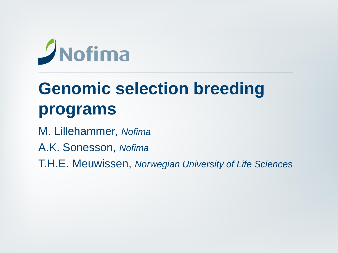# $D$ Nofima

# **Genomic selection breeding programs**

M. Lillehammer, *Nofima*

A.K. Sonesson, *Nofima*

T.H.E. Meuwissen, *Norwegian University of Life Sciences*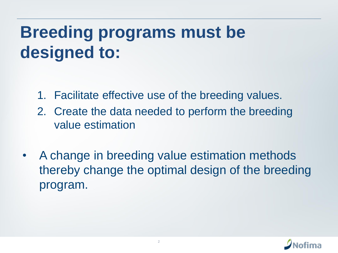# **Breeding programs must be designed to:**

- 1. Facilitate effective use of the breeding values.
- 2. Create the data needed to perform the breeding value estimation
- A change in breeding value estimation methods thereby change the optimal design of the breeding program.

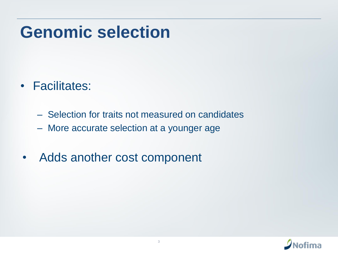#### **Genomic selection**

- Facilitates:
	- Selection for traits not measured on candidates
	- More accurate selection at a younger age
- Adds another cost component

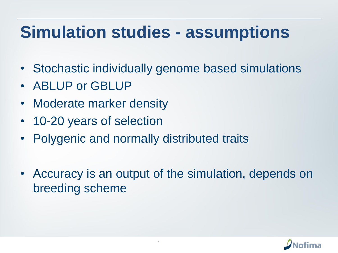#### **Simulation studies - assumptions**

- Stochastic individually genome based simulations
- ABLUP or GBLUP
- Moderate marker density
- 10-20 years of selection
- Polygenic and normally distributed traits
- Accuracy is an output of the simulation, depends on breeding scheme

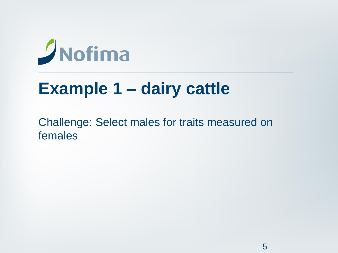# $D$ Nofima

### **Example 1 – dairy cattle**

Challenge: Select males for traits measured on females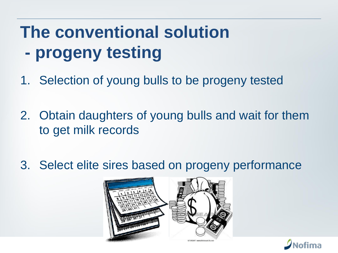# **The conventional solution - progeny testing**

- 1. Selection of young bulls to be progeny tested
- 2. Obtain daughters of young bulls and wait for them to get milk records
- 3. Select elite sires based on progeny performance



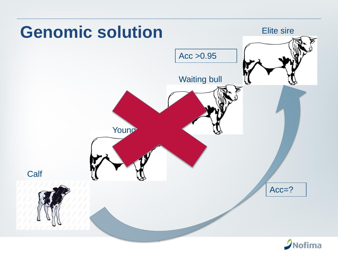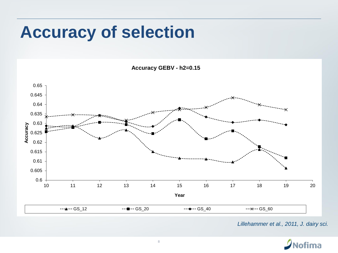#### **Accuracy of selection**

**Accuracy GEBV - h2=0.15**



*Lillehammer et al., 2011, J. dairy sci.*

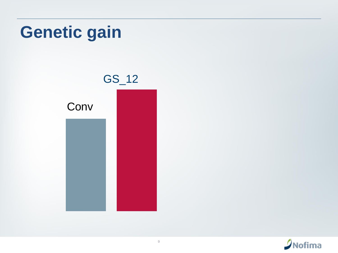

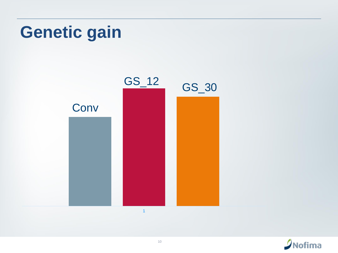### **Genetic gain**



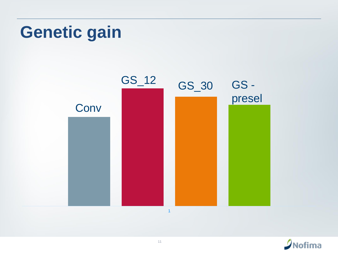### **Genetic gain**



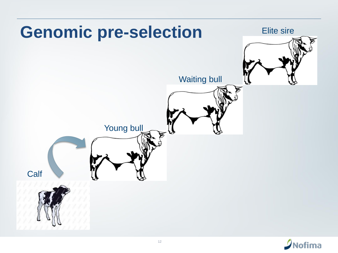

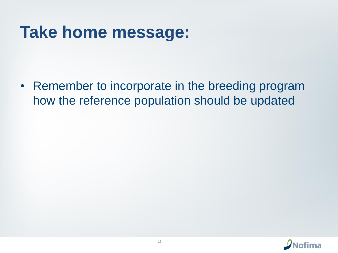#### **Take home message:**

• Remember to incorporate in the breeding program how the reference population should be updated

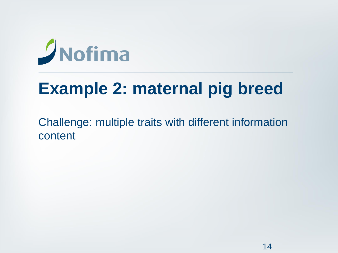# $\sqrt{\frac{1}{10}}$  Nofima

### **Example 2: maternal pig breed**

Challenge: multiple traits with different information content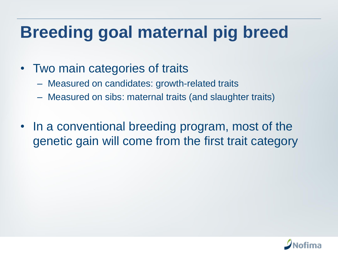# **Breeding goal maternal pig breed**

- Two main categories of traits
	- Measured on candidates: growth-related traits
	- Measured on sibs: maternal traits (and slaughter traits)
- In a conventional breeding program, most of the genetic gain will come from the first trait category

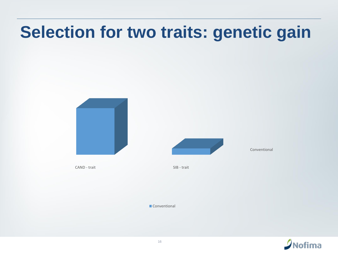



Conventional

CAND - trait SIB - trait

**Conventional** 

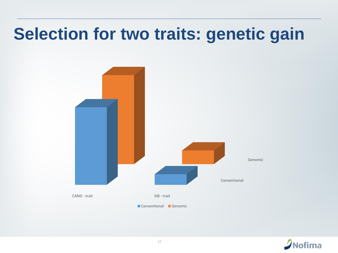

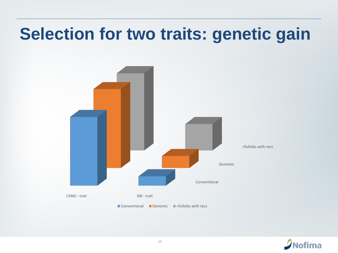

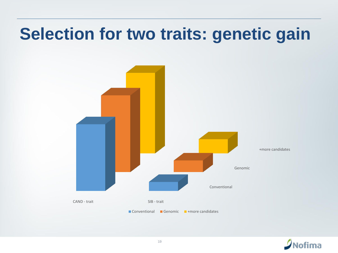

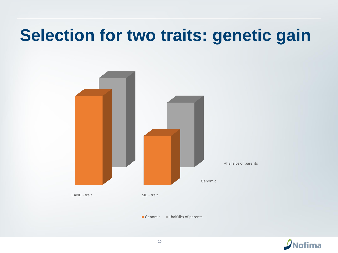

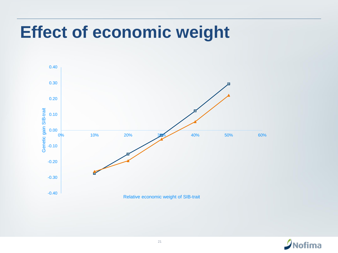#### **Effect of economic weight**



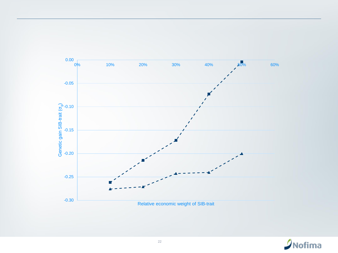

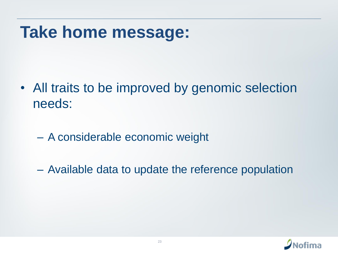#### **Take home message:**

- All traits to be improved by genomic selection needs:
	- A considerable economic weight
	- Available data to update the reference population

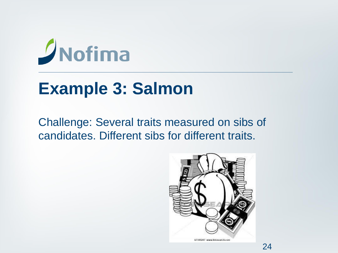# $D$ Nofima

### **Example 3: Salmon**

Challenge: Several traits measured on sibs of candidates. Different sibs for different traits.

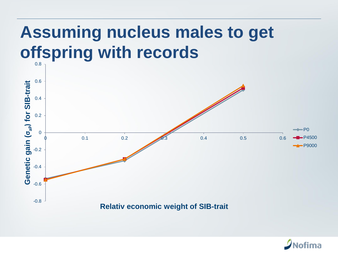#### **Assuming nucleus males to get offspring with records** 0.8



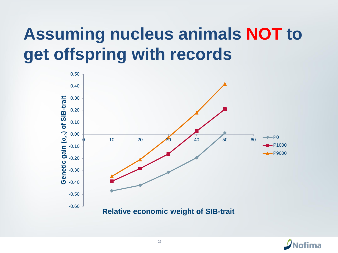# **Assuming nucleus animals NOT to get offspring with records**



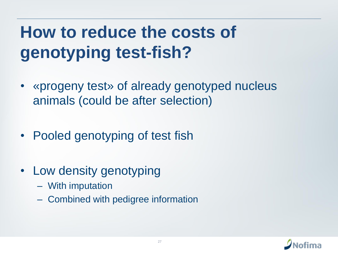# **How to reduce the costs of genotyping test-fish?**

- «progeny test» of already genotyped nucleus animals (could be after selection)
- Pooled genotyping of test fish
- Low density genotyping
	- With imputation
	- Combined with pedigree information

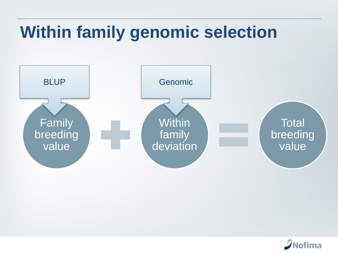# **Within family genomic selection**



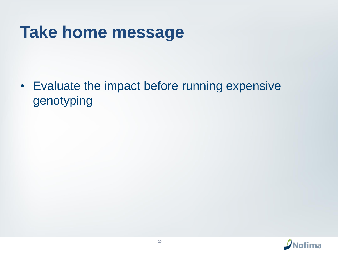#### **Take home message**

• Evaluate the impact before running expensive genotyping

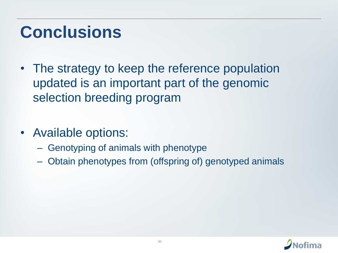### **Conclusions**

- The strategy to keep the reference population updated is an important part of the genomic selection breeding program
- Available options:
	- Genotyping of animals with phenotype
	- Obtain phenotypes from (offspring of) genotyped animals

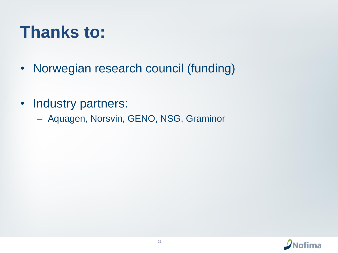### **Thanks to:**

- Norwegian research council (funding)
- Industry partners:
	- Aquagen, Norsvin, GENO, NSG, Graminor